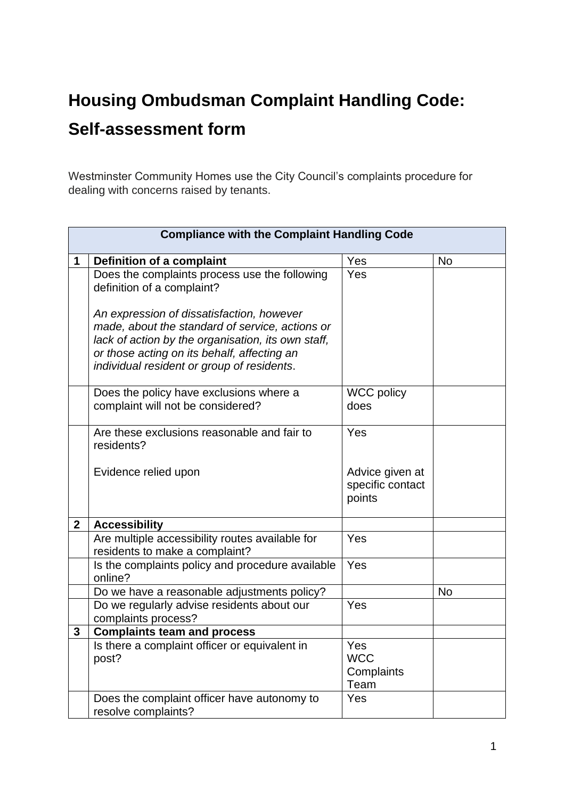## **Housing Ombudsman Complaint Handling Code: Self-assessment form**

Westminster Community Homes use the City Council's complaints procedure for dealing with concerns raised by tenants.

|              | <b>Compliance with the Complaint Handling Code</b>                                                                                                                                                                                              |                                               |           |
|--------------|-------------------------------------------------------------------------------------------------------------------------------------------------------------------------------------------------------------------------------------------------|-----------------------------------------------|-----------|
|              | Definition of a complaint                                                                                                                                                                                                                       | Yes                                           | <b>No</b> |
|              | Does the complaints process use the following<br>definition of a complaint?                                                                                                                                                                     | Yes                                           |           |
|              | An expression of dissatisfaction, however<br>made, about the standard of service, actions or<br>lack of action by the organisation, its own staff,<br>or those acting on its behalf, affecting an<br>individual resident or group of residents. |                                               |           |
|              | Does the policy have exclusions where a<br>complaint will not be considered?                                                                                                                                                                    | <b>WCC policy</b><br>does                     |           |
|              | Are these exclusions reasonable and fair to<br>residents?                                                                                                                                                                                       | Yes                                           |           |
|              | Evidence relied upon                                                                                                                                                                                                                            | Advice given at<br>specific contact<br>points |           |
| $\mathbf{2}$ | <b>Accessibility</b>                                                                                                                                                                                                                            |                                               |           |
|              | Are multiple accessibility routes available for<br>residents to make a complaint?                                                                                                                                                               | Yes                                           |           |
|              | Is the complaints policy and procedure available<br>online?                                                                                                                                                                                     | Yes                                           |           |
|              | Do we have a reasonable adjustments policy?                                                                                                                                                                                                     |                                               | <b>No</b> |
|              | Do we regularly advise residents about our<br>complaints process?                                                                                                                                                                               | Yes                                           |           |
| 3            | <b>Complaints team and process</b>                                                                                                                                                                                                              |                                               |           |
|              | Is there a complaint officer or equivalent in<br>post?                                                                                                                                                                                          | Yes<br><b>WCC</b><br>Complaints<br>Team       |           |
|              | Does the complaint officer have autonomy to<br>resolve complaints?                                                                                                                                                                              | Yes                                           |           |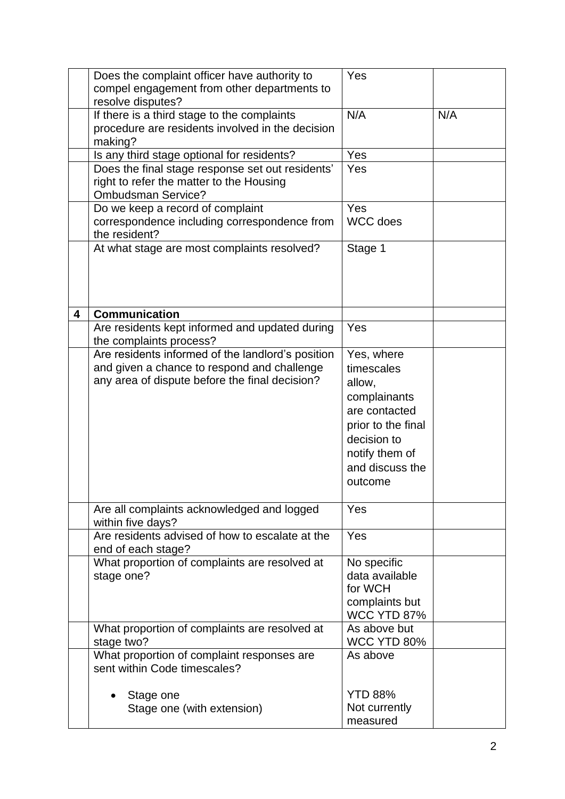|   | Does the complaint officer have authority to<br>compel engagement from other departments to<br>resolve disputes?                                   | Yes                                                                                                                                                      |     |
|---|----------------------------------------------------------------------------------------------------------------------------------------------------|----------------------------------------------------------------------------------------------------------------------------------------------------------|-----|
|   | If there is a third stage to the complaints<br>procedure are residents involved in the decision<br>making?                                         | N/A                                                                                                                                                      | N/A |
|   | Is any third stage optional for residents?                                                                                                         | Yes                                                                                                                                                      |     |
|   | Does the final stage response set out residents'<br>right to refer the matter to the Housing<br><b>Ombudsman Service?</b>                          | Yes                                                                                                                                                      |     |
|   | Do we keep a record of complaint<br>correspondence including correspondence from<br>the resident?                                                  | Yes<br><b>WCC</b> does                                                                                                                                   |     |
|   | At what stage are most complaints resolved?                                                                                                        | Stage 1                                                                                                                                                  |     |
| 4 | <b>Communication</b>                                                                                                                               |                                                                                                                                                          |     |
|   | Are residents kept informed and updated during<br>the complaints process?                                                                          | Yes                                                                                                                                                      |     |
|   | Are residents informed of the landlord's position<br>and given a chance to respond and challenge<br>any area of dispute before the final decision? | Yes, where<br>timescales<br>allow,<br>complainants<br>are contacted<br>prior to the final<br>decision to<br>notify them of<br>and discuss the<br>outcome |     |
|   | Are all complaints acknowledged and logged<br>within five days?                                                                                    | Yes                                                                                                                                                      |     |
|   | Are residents advised of how to escalate at the<br>end of each stage?                                                                              | Yes                                                                                                                                                      |     |
|   | What proportion of complaints are resolved at<br>stage one?                                                                                        | No specific<br>data available<br>for WCH<br>complaints but<br><b>WCC YTD 87%</b>                                                                         |     |
|   | What proportion of complaints are resolved at<br>stage two?                                                                                        | As above but<br>WCC YTD 80%                                                                                                                              |     |
|   | What proportion of complaint responses are<br>sent within Code timescales?                                                                         | As above                                                                                                                                                 |     |
|   | Stage one<br>Stage one (with extension)                                                                                                            | <b>YTD 88%</b><br>Not currently<br>measured                                                                                                              |     |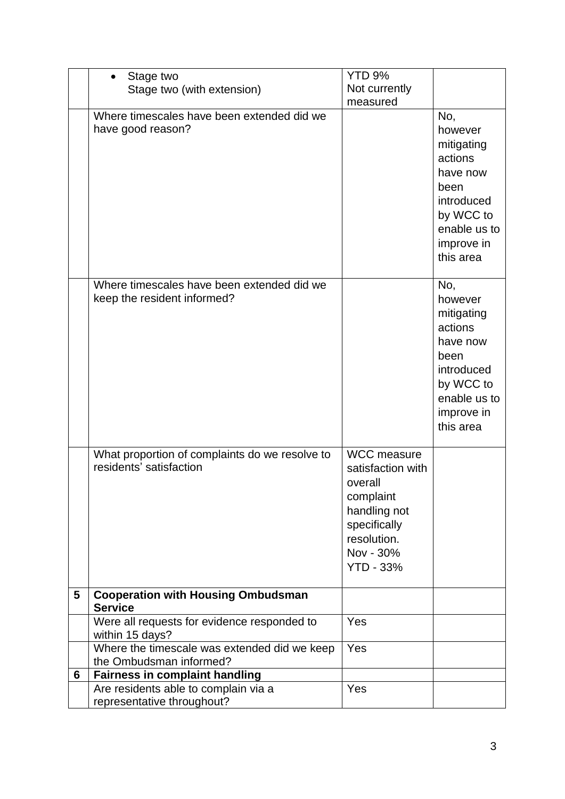|   | Stage two                                                                 | YTD <sub>9%</sub>                                                                                                                               |                                                                                                                                   |
|---|---------------------------------------------------------------------------|-------------------------------------------------------------------------------------------------------------------------------------------------|-----------------------------------------------------------------------------------------------------------------------------------|
|   | Stage two (with extension)                                                | Not currently                                                                                                                                   |                                                                                                                                   |
|   |                                                                           | measured                                                                                                                                        |                                                                                                                                   |
|   | Where timescales have been extended did we<br>have good reason?           |                                                                                                                                                 | No,<br>however<br>mitigating<br>actions<br>have now<br>been<br>introduced<br>by WCC to<br>enable us to<br>improve in<br>this area |
|   | Where timescales have been extended did we<br>keep the resident informed? |                                                                                                                                                 | No,<br>however<br>mitigating<br>actions<br>have now<br>been<br>introduced<br>by WCC to<br>enable us to<br>improve in<br>this area |
|   | What proportion of complaints do we resolve to<br>residents' satisfaction | <b>WCC</b> measure<br>satisfaction with<br>overall<br>complaint<br>handling not<br>specifically<br>resolution.<br>Nov - 30%<br><b>YTD - 33%</b> |                                                                                                                                   |
| 5 | <b>Cooperation with Housing Ombudsman</b><br><b>Service</b>               |                                                                                                                                                 |                                                                                                                                   |
|   | Were all requests for evidence responded to<br>within 15 days?            | Yes                                                                                                                                             |                                                                                                                                   |
|   | Where the timescale was extended did we keep<br>the Ombudsman informed?   | Yes                                                                                                                                             |                                                                                                                                   |
| 6 | <b>Fairness in complaint handling</b>                                     |                                                                                                                                                 |                                                                                                                                   |
|   | Are residents able to complain via a<br>representative throughout?        | Yes                                                                                                                                             |                                                                                                                                   |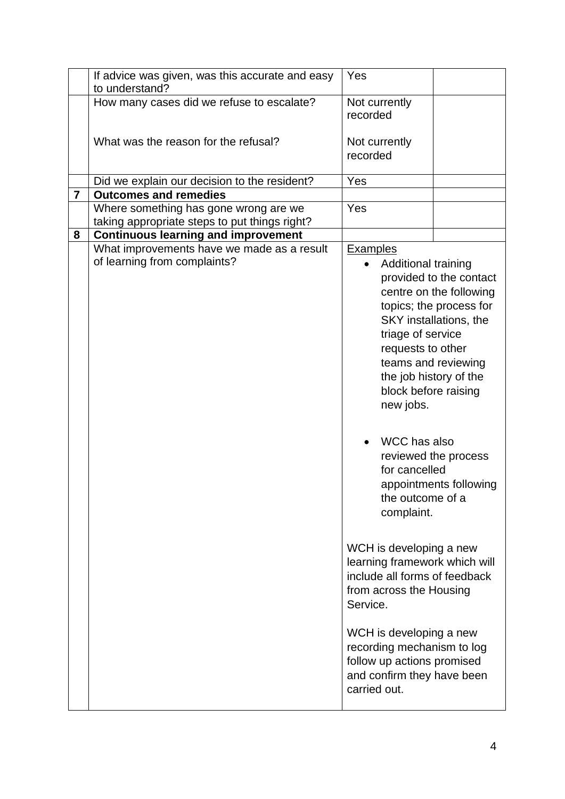|                | If advice was given, was this accurate and easy                            | Yes                                                                                                                                                                                                                                                                                                     |                                                                                                                                                                                                            |
|----------------|----------------------------------------------------------------------------|---------------------------------------------------------------------------------------------------------------------------------------------------------------------------------------------------------------------------------------------------------------------------------------------------------|------------------------------------------------------------------------------------------------------------------------------------------------------------------------------------------------------------|
|                | to understand?                                                             |                                                                                                                                                                                                                                                                                                         |                                                                                                                                                                                                            |
|                | How many cases did we refuse to escalate?                                  | Not currently<br>recorded                                                                                                                                                                                                                                                                               |                                                                                                                                                                                                            |
|                | What was the reason for the refusal?                                       | Not currently<br>recorded                                                                                                                                                                                                                                                                               |                                                                                                                                                                                                            |
|                |                                                                            |                                                                                                                                                                                                                                                                                                         |                                                                                                                                                                                                            |
|                | Did we explain our decision to the resident?                               | Yes                                                                                                                                                                                                                                                                                                     |                                                                                                                                                                                                            |
| $\overline{7}$ | <b>Outcomes and remedies</b>                                               |                                                                                                                                                                                                                                                                                                         |                                                                                                                                                                                                            |
|                | Where something has gone wrong are we                                      | Yes                                                                                                                                                                                                                                                                                                     |                                                                                                                                                                                                            |
|                | taking appropriate steps to put things right?                              |                                                                                                                                                                                                                                                                                                         |                                                                                                                                                                                                            |
| 8              | <b>Continuous learning and improvement</b>                                 |                                                                                                                                                                                                                                                                                                         |                                                                                                                                                                                                            |
|                | What improvements have we made as a result<br>of learning from complaints? | <b>Examples</b><br>Additional training<br>triage of service<br>requests to other<br>block before raising<br>new jobs.<br>WCC has also<br>for cancelled                                                                                                                                                  | provided to the contact<br>centre on the following<br>topics; the process for<br>SKY installations, the<br>teams and reviewing<br>the job history of the<br>reviewed the process<br>appointments following |
|                |                                                                            | the outcome of a<br>complaint.<br>WCH is developing a new<br>learning framework which will<br>include all forms of feedback<br>from across the Housing<br>Service.<br>WCH is developing a new<br>recording mechanism to log<br>follow up actions promised<br>and confirm they have been<br>carried out. |                                                                                                                                                                                                            |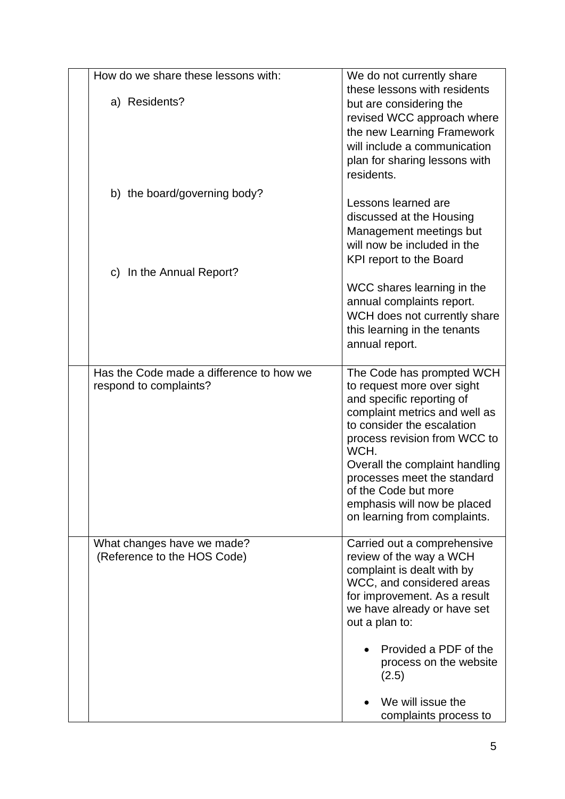| How do we share these lessons with:<br>a) Residents?               | We do not currently share<br>these lessons with residents<br>but are considering the<br>revised WCC approach where<br>the new Learning Framework<br>will include a communication<br>plan for sharing lessons with<br>residents.                                                                                                                     |
|--------------------------------------------------------------------|-----------------------------------------------------------------------------------------------------------------------------------------------------------------------------------------------------------------------------------------------------------------------------------------------------------------------------------------------------|
| b) the board/governing body?<br>c) In the Annual Report?           | Lessons learned are<br>discussed at the Housing<br>Management meetings but<br>will now be included in the<br><b>KPI report to the Board</b><br>WCC shares learning in the<br>annual complaints report.<br>WCH does not currently share<br>this learning in the tenants<br>annual report.                                                            |
| Has the Code made a difference to how we<br>respond to complaints? | The Code has prompted WCH<br>to request more over sight<br>and specific reporting of<br>complaint metrics and well as<br>to consider the escalation<br>process revision from WCC to<br>WCH.<br>Overall the complaint handling<br>processes meet the standard<br>of the Code but more<br>emphasis will now be placed<br>on learning from complaints. |
| What changes have we made?<br>(Reference to the HOS Code)          | Carried out a comprehensive<br>review of the way a WCH<br>complaint is dealt with by<br>WCC, and considered areas<br>for improvement. As a result<br>we have already or have set<br>out a plan to:<br>Provided a PDF of the<br>process on the website<br>(2.5)<br>We will issue the<br>complaints process to                                        |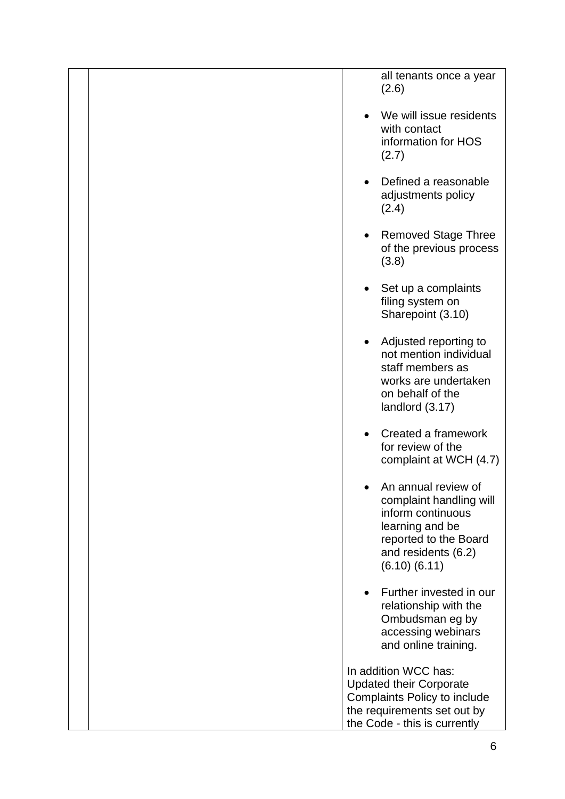| all tenants once a year<br>(2.6)                                                                                                                            |
|-------------------------------------------------------------------------------------------------------------------------------------------------------------|
| We will issue residents<br>with contact<br>information for HOS<br>(2.7)                                                                                     |
| Defined a reasonable<br>adjustments policy<br>(2.4)                                                                                                         |
| <b>Removed Stage Three</b><br>of the previous process<br>(3.8)                                                                                              |
| Set up a complaints<br>$\bullet$<br>filing system on<br>Sharepoint (3.10)                                                                                   |
| Adjusted reporting to<br>not mention individual<br>staff members as<br>works are undertaken<br>on behalf of the<br>landlord (3.17)                          |
| Created a framework<br>for review of the<br>complaint at WCH (4.7)                                                                                          |
| An annual review of<br>complaint handling will<br>inform continuous<br>learning and be<br>reported to the Board<br>and residents (6.2)<br>$(6.10)$ $(6.11)$ |
| Further invested in our<br>relationship with the<br>Ombudsman eg by<br>accessing webinars<br>and online training.                                           |
| In addition WCC has:<br><b>Updated their Corporate</b>                                                                                                      |
| Complaints Policy to include<br>the requirements set out by<br>the Code - this is currently                                                                 |